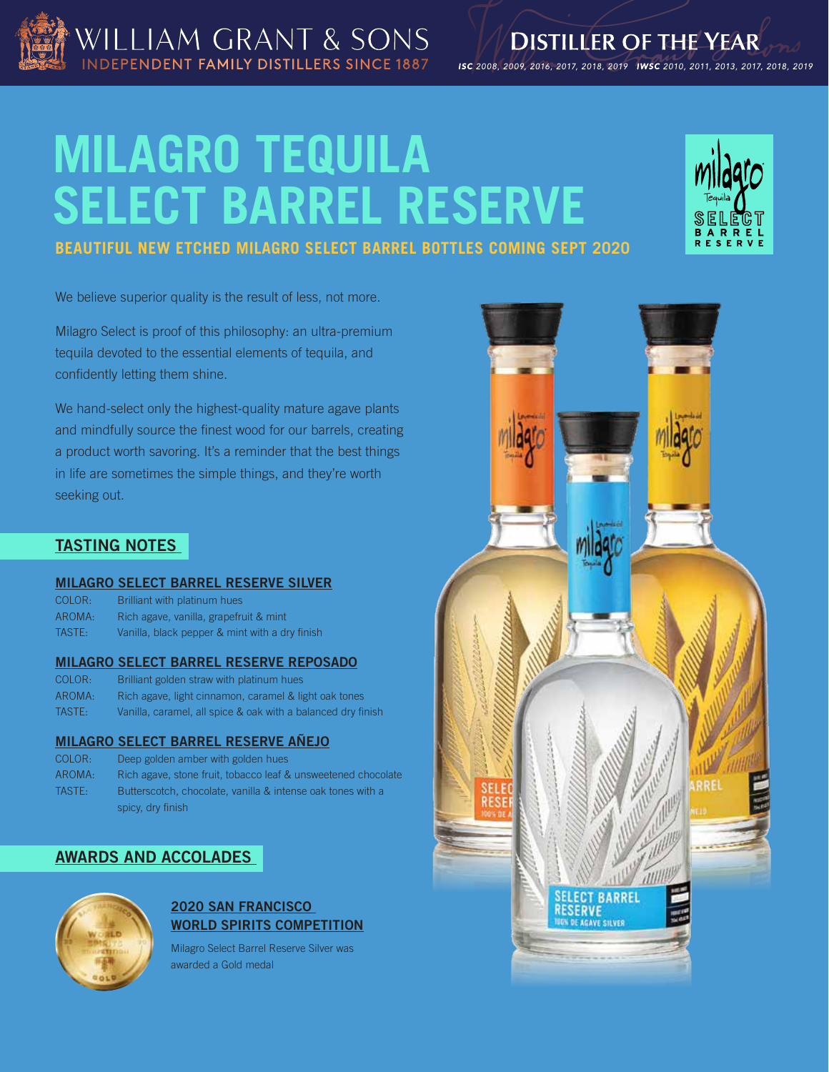

ISC 2008, 2009, 2016, 2017, 2018, 2019 IWSC 2010, 2011, 2013, 2017, 2018, 2019

# **MILAGRO TEQUILA SELECT BARREL RESERVE**

WILLIAM GRANT & SONS

NDEPENDENT FAMILY DISTILLERS SINCE 1887



## **BEAUTIFUL NEW ETCHED MILAGRO SELECT BARREL BOTTLES COMING SEPT 2020**

We believe superior quality is the result of less, not more.

Milagro Select is proof of this philosophy: an ultra-premium tequila devoted to the essential elements of tequila, and confidently letting them shine.

We hand-select only the highest-quality mature agave plants and mindfully source the finest wood for our barrels, creating a product worth savoring. It's a reminder that the best things in life are sometimes the simple things, and they're worth seeking out.

## **TASTING NOTES**

#### **MILAGRO SELECT BARREL RESERVE SILVER**

| COLOR: | Brilliant with platinum hues                   |
|--------|------------------------------------------------|
| AROMA: | Rich agave, vanilla, grapefruit & mint         |
| TASTE: | Vanilla, black pepper & mint with a dry finish |

#### **MILAGRO SELECT BARREL RESERVE REPOSADO**

| COLOR: | Brilliant golden straw with platinum hues                    |
|--------|--------------------------------------------------------------|
| AROMA: | Rich agave, light cinnamon, caramel & light oak tones        |
| TASTE: | Vanilla, caramel, all spice & oak with a balanced dry finish |

## **MILAGRO SELECT BARREL RESERVE AÑEJO**

| COLOR: | Deep golden amber with golden hues                            |
|--------|---------------------------------------------------------------|
| AROMA: | Rich agave, stone fruit, tobacco leaf & unsweetened chocolate |
| TASTE: | Butterscotch, chocolate, vanilla & intense oak tones with a   |
|        | spicy, dry finish                                             |

## **AWARDS AND ACCOLADES**



## **2020 SAN FRANCISCO WORLD SPIRITS COMPETITION**

Milagro Select Barrel Reserve Silver was awarded a Gold medal